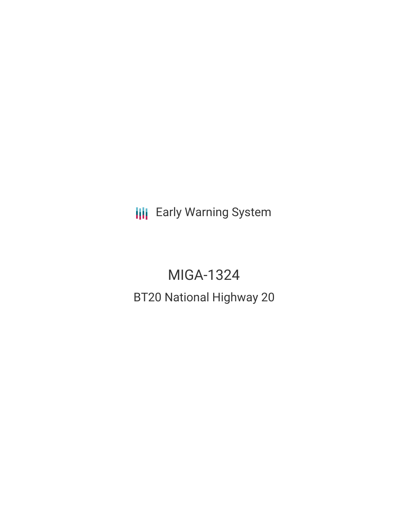**III** Early Warning System

# MIGA-1324 BT20 National Highway 20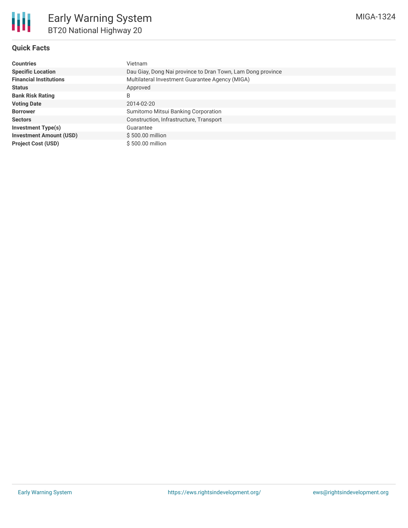

## **Quick Facts**

| <b>Countries</b>               | Vietnam                                                     |
|--------------------------------|-------------------------------------------------------------|
| <b>Specific Location</b>       | Dau Giay, Dong Nai province to Dran Town, Lam Dong province |
| <b>Financial Institutions</b>  | Multilateral Investment Guarantee Agency (MIGA)             |
| <b>Status</b>                  | Approved                                                    |
| <b>Bank Risk Rating</b>        | B                                                           |
| <b>Voting Date</b>             | 2014-02-20                                                  |
| <b>Borrower</b>                | Sumitomo Mitsui Banking Corporation                         |
| <b>Sectors</b>                 | Construction, Infrastructure, Transport                     |
| Investment Type(s)             | Guarantee                                                   |
| <b>Investment Amount (USD)</b> | \$500.00 million                                            |
| <b>Project Cost (USD)</b>      | \$500.00 million                                            |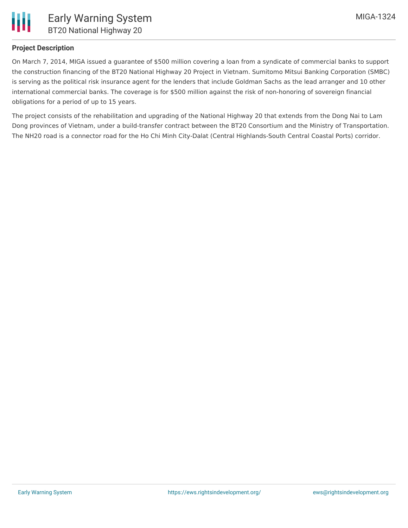

## **Project Description**

On March 7, 2014, MIGA issued a guarantee of \$500 million covering a loan from a syndicate of commercial banks to support the construction financing of the BT20 National Highway 20 Project in Vietnam. Sumitomo Mitsui Banking Corporation (SMBC) is serving as the political risk insurance agent for the lenders that include Goldman Sachs as the lead arranger and 10 other international commercial banks. The coverage is for \$500 million against the risk of non-honoring of sovereign financial obligations for a period of up to 15 years.

The project consists of the rehabilitation and upgrading of the National Highway 20 that extends from the Dong Nai to Lam Dong provinces of Vietnam, under a build-transfer contract between the BT20 Consortium and the Ministry of Transportation. The NH20 road is a connector road for the Ho Chi Minh City-Dalat (Central Highlands-South Central Coastal Ports) corridor.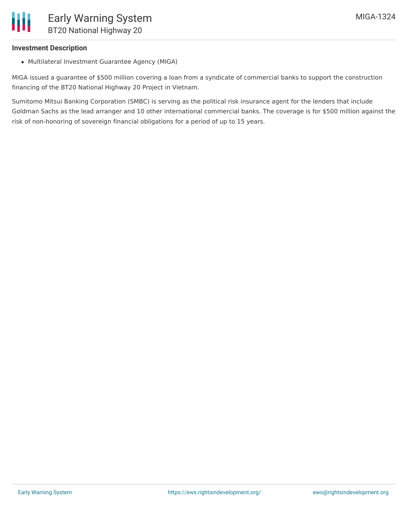### **Investment Description**

Multilateral Investment Guarantee Agency (MIGA)

MIGA issued a guarantee of \$500 million covering a loan from a syndicate of commercial banks to support the construction financing of the BT20 National Highway 20 Project in Vietnam.

Sumitomo Mitsui Banking Corporation (SMBC) is serving as the political risk insurance agent for the lenders that include Goldman Sachs as the lead arranger and 10 other international commercial banks. The coverage is for \$500 million against the risk of non-honoring of sovereign financial obligations for a period of up to 15 years.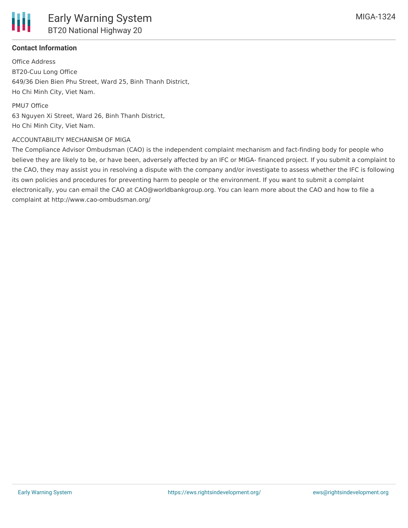

## **Contact Information**

Office Address BT20-Cuu Long Office 649/36 Dien Bien Phu Street, Ward 25, Binh Thanh District, Ho Chi Minh City, Viet Nam.

PMU7 Office 63 Nguyen Xi Street, Ward 26, Binh Thanh District, Ho Chi Minh City, Viet Nam.

#### ACCOUNTABILITY MECHANISM OF MIGA

The Compliance Advisor Ombudsman (CAO) is the independent complaint mechanism and fact-finding body for people who believe they are likely to be, or have been, adversely affected by an IFC or MIGA- financed project. If you submit a complaint to the CAO, they may assist you in resolving a dispute with the company and/or investigate to assess whether the IFC is following its own policies and procedures for preventing harm to people or the environment. If you want to submit a complaint electronically, you can email the CAO at CAO@worldbankgroup.org. You can learn more about the CAO and how to file a complaint at http://www.cao-ombudsman.org/